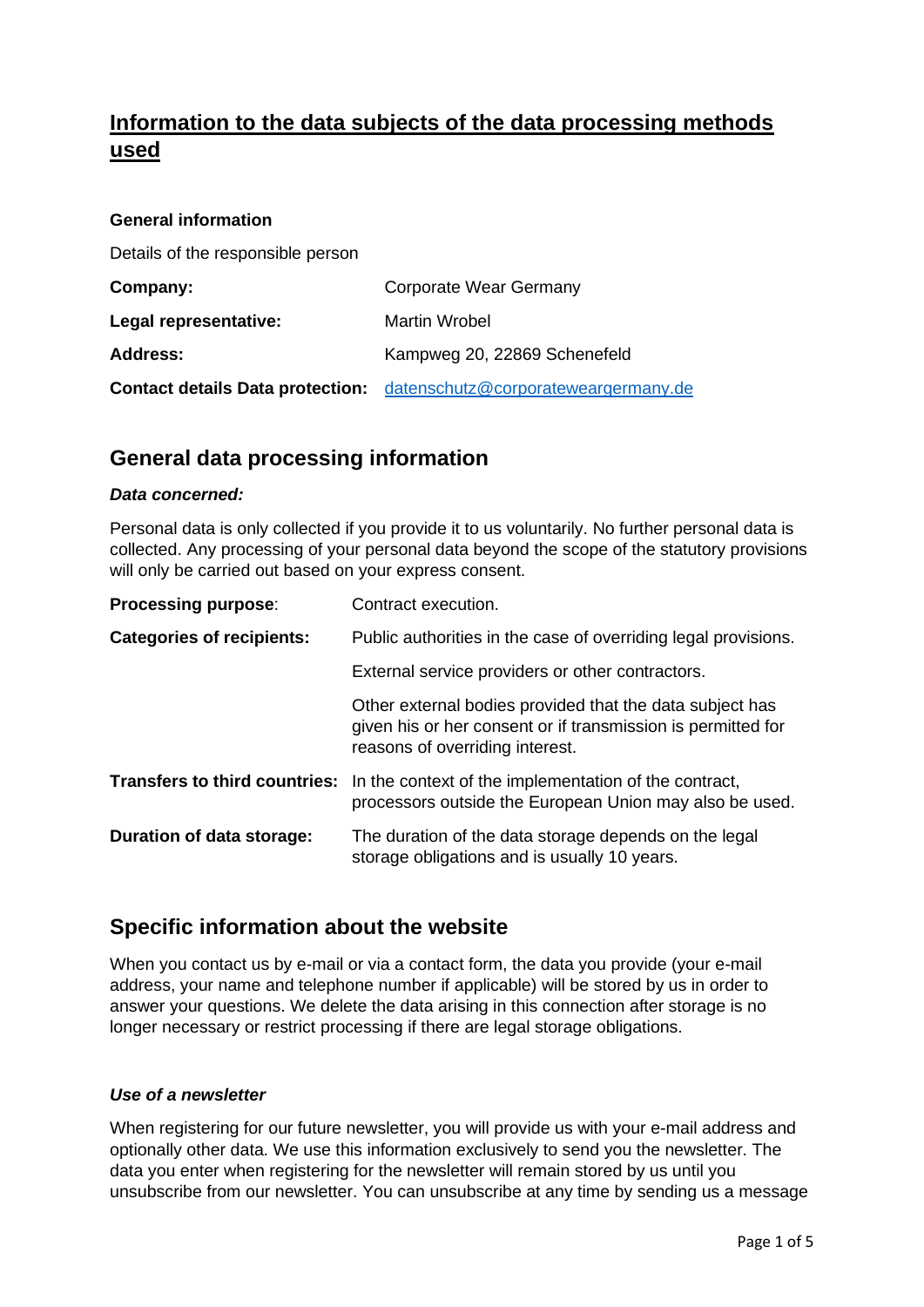# **Information to the data subjects of the data processing methods used**

| <b>General information</b>              |                                     |
|-----------------------------------------|-------------------------------------|
| Details of the responsible person       |                                     |
| Company:                                | <b>Corporate Wear Germany</b>       |
| Legal representative:                   | <b>Martin Wrobel</b>                |
| <b>Address:</b>                         | Kampweg 20, 22869 Schenefeld        |
| <b>Contact details Data protection:</b> | datenschutz@corporateweargermany.de |

### **General data processing information**

#### *Data concerned:*

Personal data is only collected if you provide it to us voluntarily. No further personal data is collected. Any processing of your personal data beyond the scope of the statutory provisions will only be carried out based on your express consent.

| <b>Processing purpose:</b>       | Contract execution.                                                                                                                                         |
|----------------------------------|-------------------------------------------------------------------------------------------------------------------------------------------------------------|
| <b>Categories of recipients:</b> | Public authorities in the case of overriding legal provisions.                                                                                              |
|                                  | External service providers or other contractors.                                                                                                            |
|                                  | Other external bodies provided that the data subject has<br>given his or her consent or if transmission is permitted for<br>reasons of overriding interest. |
|                                  | <b>Transfers to third countries:</b> In the context of the implementation of the contract,<br>processors outside the European Union may also be used.       |
| Duration of data storage:        | The duration of the data storage depends on the legal<br>storage obligations and is usually 10 years.                                                       |

### **Specific information about the website**

When you contact us by e-mail or via a contact form, the data you provide (your e-mail address, your name and telephone number if applicable) will be stored by us in order to answer your questions. We delete the data arising in this connection after storage is no longer necessary or restrict processing if there are legal storage obligations.

#### *Use of a newsletter*

When registering for our future newsletter, you will provide us with your e-mail address and optionally other data. We use this information exclusively to send you the newsletter. The data you enter when registering for the newsletter will remain stored by us until you unsubscribe from our newsletter. You can unsubscribe at any time by sending us a message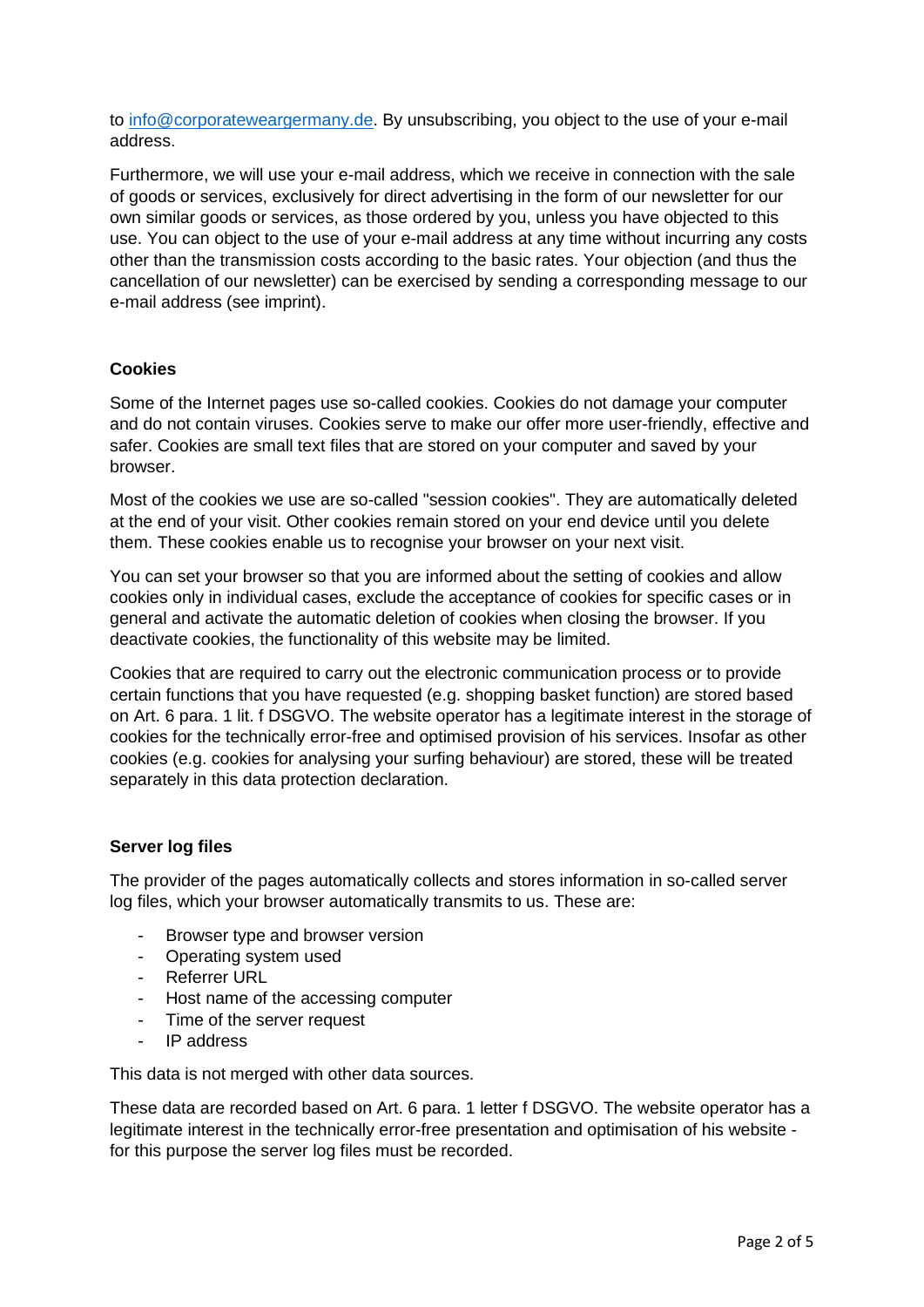to [info@corporateweargermany.de.](mailto:info@corporateweargermany.de) By unsubscribing, you object to the use of your e-mail address.

Furthermore, we will use your e-mail address, which we receive in connection with the sale of goods or services, exclusively for direct advertising in the form of our newsletter for our own similar goods or services, as those ordered by you, unless you have objected to this use. You can object to the use of your e-mail address at any time without incurring any costs other than the transmission costs according to the basic rates. Your objection (and thus the cancellation of our newsletter) can be exercised by sending a corresponding message to our e-mail address (see imprint).

### **Cookies**

Some of the Internet pages use so-called cookies. Cookies do not damage your computer and do not contain viruses. Cookies serve to make our offer more user-friendly, effective and safer. Cookies are small text files that are stored on your computer and saved by your browser.

Most of the cookies we use are so-called "session cookies". They are automatically deleted at the end of your visit. Other cookies remain stored on your end device until you delete them. These cookies enable us to recognise your browser on your next visit.

You can set your browser so that you are informed about the setting of cookies and allow cookies only in individual cases, exclude the acceptance of cookies for specific cases or in general and activate the automatic deletion of cookies when closing the browser. If you deactivate cookies, the functionality of this website may be limited.

Cookies that are required to carry out the electronic communication process or to provide certain functions that you have requested (e.g. shopping basket function) are stored based on Art. 6 para. 1 lit. f DSGVO. The website operator has a legitimate interest in the storage of cookies for the technically error-free and optimised provision of his services. Insofar as other cookies (e.g. cookies for analysing your surfing behaviour) are stored, these will be treated separately in this data protection declaration.

#### **Server log files**

The provider of the pages automatically collects and stores information in so-called server log files, which your browser automatically transmits to us. These are:

- Browser type and browser version
- Operating system used
- Referrer URL
- Host name of the accessing computer
- Time of the server request
- IP address

This data is not merged with other data sources.

These data are recorded based on Art. 6 para. 1 letter f DSGVO. The website operator has a legitimate interest in the technically error-free presentation and optimisation of his website for this purpose the server log files must be recorded.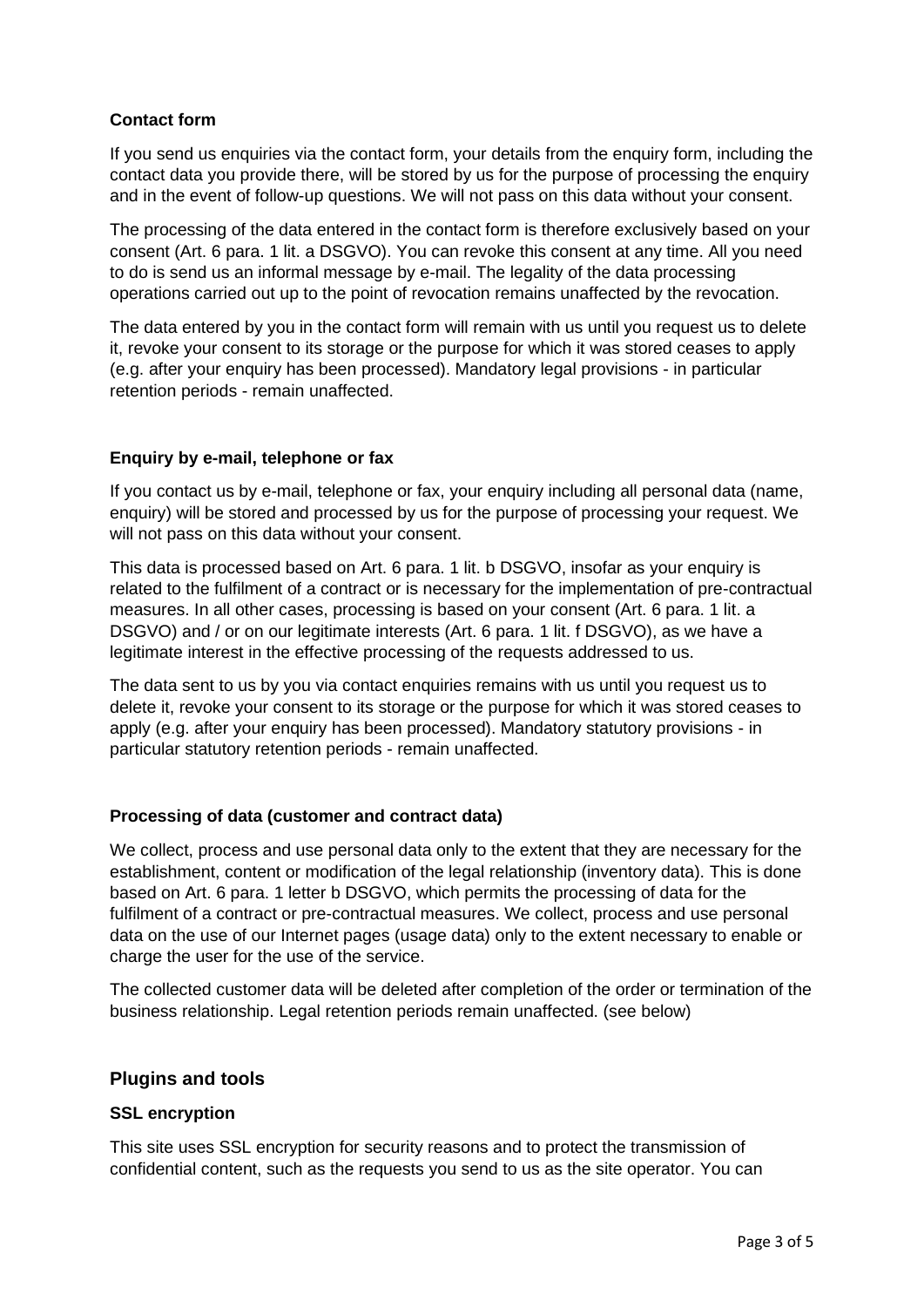### **Contact form**

If you send us enquiries via the contact form, your details from the enquiry form, including the contact data you provide there, will be stored by us for the purpose of processing the enquiry and in the event of follow-up questions. We will not pass on this data without your consent.

The processing of the data entered in the contact form is therefore exclusively based on your consent (Art. 6 para. 1 lit. a DSGVO). You can revoke this consent at any time. All you need to do is send us an informal message by e-mail. The legality of the data processing operations carried out up to the point of revocation remains unaffected by the revocation.

The data entered by you in the contact form will remain with us until you request us to delete it, revoke your consent to its storage or the purpose for which it was stored ceases to apply (e.g. after your enquiry has been processed). Mandatory legal provisions - in particular retention periods - remain unaffected.

#### **Enquiry by e-mail, telephone or fax**

If you contact us by e-mail, telephone or fax, your enquiry including all personal data (name, enquiry) will be stored and processed by us for the purpose of processing your request. We will not pass on this data without your consent.

This data is processed based on Art. 6 para. 1 lit. b DSGVO, insofar as your enquiry is related to the fulfilment of a contract or is necessary for the implementation of pre-contractual measures. In all other cases, processing is based on your consent (Art. 6 para. 1 lit. a DSGVO) and / or on our legitimate interests (Art. 6 para. 1 lit. f DSGVO), as we have a legitimate interest in the effective processing of the requests addressed to us.

The data sent to us by you via contact enquiries remains with us until you request us to delete it, revoke your consent to its storage or the purpose for which it was stored ceases to apply (e.g. after your enquiry has been processed). Mandatory statutory provisions - in particular statutory retention periods - remain unaffected.

#### **Processing of data (customer and contract data)**

We collect, process and use personal data only to the extent that they are necessary for the establishment, content or modification of the legal relationship (inventory data). This is done based on Art. 6 para. 1 letter b DSGVO, which permits the processing of data for the fulfilment of a contract or pre-contractual measures. We collect, process and use personal data on the use of our Internet pages (usage data) only to the extent necessary to enable or charge the user for the use of the service.

The collected customer data will be deleted after completion of the order or termination of the business relationship. Legal retention periods remain unaffected. (see below)

#### **Plugins and tools**

#### **SSL encryption**

This site uses SSL encryption for security reasons and to protect the transmission of confidential content, such as the requests you send to us as the site operator. You can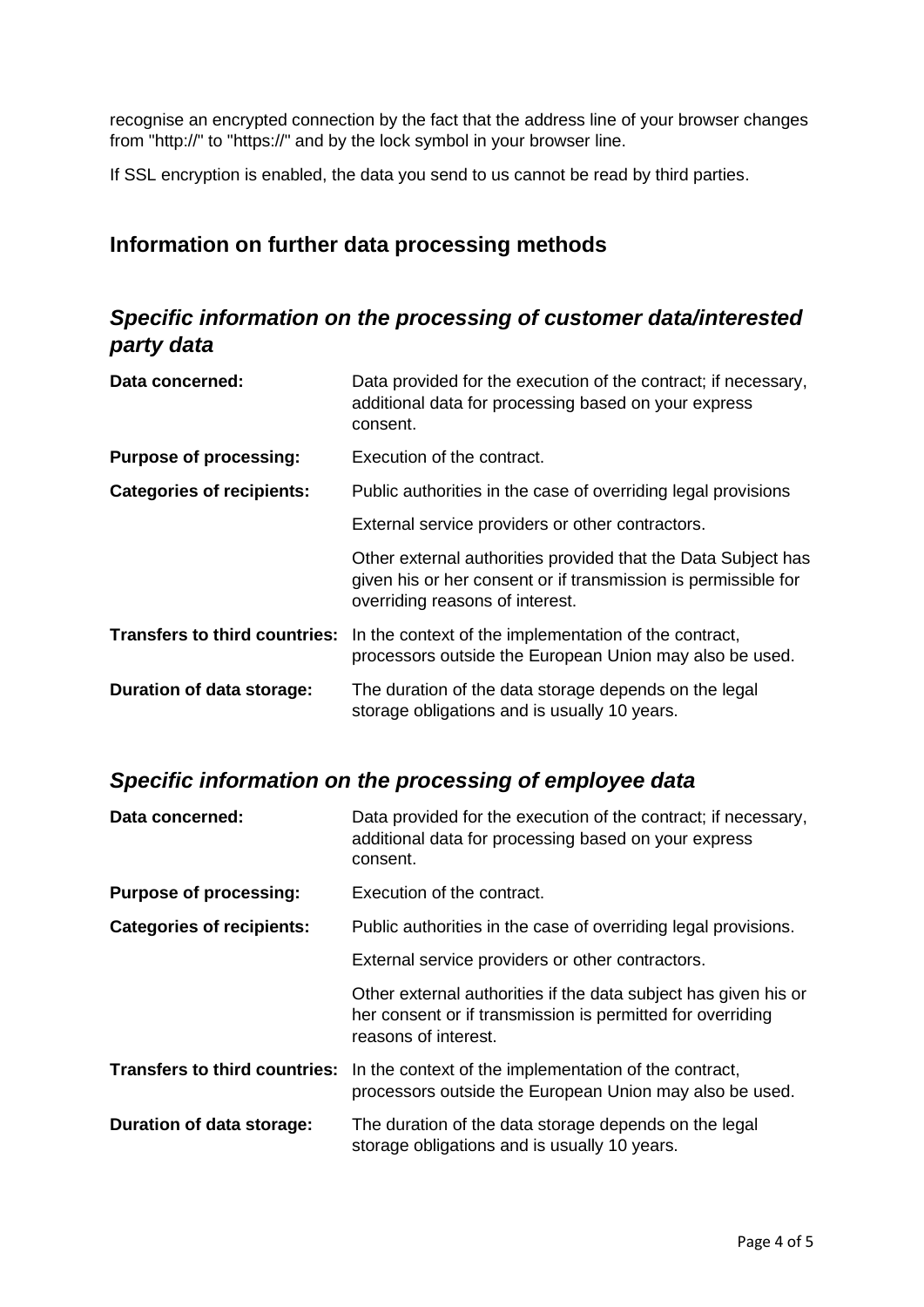recognise an encrypted connection by the fact that the address line of your browser changes from "http://" to "https://" and by the lock symbol in your browser line.

If SSL encryption is enabled, the data you send to us cannot be read by third parties.

### **Information on further data processing methods**

# *Specific information on the processing of customer data/interested party data*

| Data concerned:                      | Data provided for the execution of the contract; if necessary,<br>additional data for processing based on your express<br>consent.                                 |
|--------------------------------------|--------------------------------------------------------------------------------------------------------------------------------------------------------------------|
| <b>Purpose of processing:</b>        | Execution of the contract.                                                                                                                                         |
| <b>Categories of recipients:</b>     | Public authorities in the case of overriding legal provisions                                                                                                      |
|                                      | External service providers or other contractors.                                                                                                                   |
|                                      | Other external authorities provided that the Data Subject has<br>given his or her consent or if transmission is permissible for<br>overriding reasons of interest. |
| <b>Transfers to third countries:</b> | In the context of the implementation of the contract,<br>processors outside the European Union may also be used.                                                   |
| Duration of data storage:            | The duration of the data storage depends on the legal<br>storage obligations and is usually 10 years.                                                              |

## *Specific information on the processing of employee data*

| Data concerned:                      | Data provided for the execution of the contract; if necessary,<br>additional data for processing based on your express<br>consent.                    |
|--------------------------------------|-------------------------------------------------------------------------------------------------------------------------------------------------------|
| <b>Purpose of processing:</b>        | Execution of the contract.                                                                                                                            |
| <b>Categories of recipients:</b>     | Public authorities in the case of overriding legal provisions.                                                                                        |
|                                      | External service providers or other contractors.                                                                                                      |
|                                      | Other external authorities if the data subject has given his or<br>her consent or if transmission is permitted for overriding<br>reasons of interest. |
| <b>Transfers to third countries:</b> | In the context of the implementation of the contract,<br>processors outside the European Union may also be used.                                      |
| Duration of data storage:            | The duration of the data storage depends on the legal<br>storage obligations and is usually 10 years.                                                 |